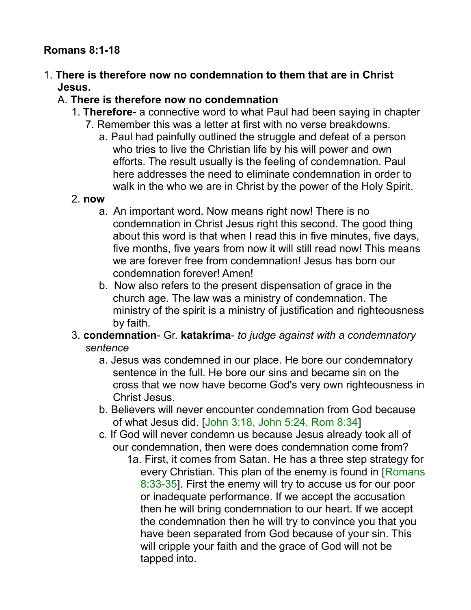### **Romans 8:1-18**

1. **There is therefore now no condemnation to them that are in Christ Jesus.** 

#### A. **There is therefore now no condemnation**

- 1. **Therefore** a connective word to what Paul had been saying in chapter
	- 7. Remember this was a letter at first with no verse breakdowns.
		- a. Paul had painfully outlined the struggle and defeat of a person who tries to live the Christian life by his will power and own efforts. The result usually is the feeling of condemnation. Paul here addresses the need to eliminate condemnation in order to walk in the who we are in Christ by the power of the Holy Spirit.

#### 2. **now**

- a. An important word. Now means right now! There is no condemnation in Christ Jesus right this second. The good thing about this word is that when I read this in five minutes, five days, five months, five years from now it will still read now! This means we are forever free from condemnation! Jesus has born our condemnation forever! Amen!
- b. Now also refers to the present dispensation of grace in the church age. The law was a ministry of condemnation. The ministry of the spirit is a ministry of justification and righteousness by faith.
- 3. **condemnation** Gr. **katakrima** *to judge against with a condemnatory sentence*
	- a. Jesus was condemned in our place. He bore our condemnatory sentence in the full. He bore our sins and became sin on the cross that we now have become God's very own righteousness in Christ Jesus.
	- b. Believers will never encounter condemnation from God because of what Jesus did. [John 3:18, John 5:24, Rom 8:34]
	- c. If God will never condemn us because Jesus already took all of our condemnation, then were does condemnation come from?
		- 1a. First, it comes from Satan. He has a three step strategy for every Christian. This plan of the enemy is found in [Romans] 8:33-35]. First the enemy will try to accuse us for our poor or inadequate performance. If we accept the accusation then he will bring condemnation to our heart. If we accept the condemnation then he will try to convince you that you have been separated from God because of your sin. This will cripple your faith and the grace of God will not be tapped into.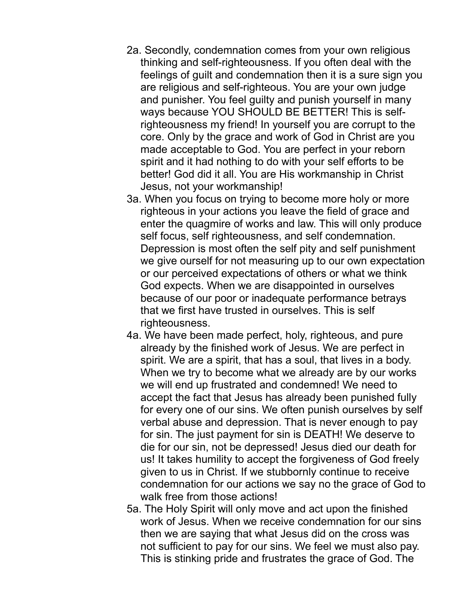- 2a. Secondly, condemnation comes from your own religious thinking and self-righteousness. If you often deal with the feelings of guilt and condemnation then it is a sure sign you are religious and self-righteous. You are your own judge and punisher. You feel guilty and punish yourself in many ways because YOU SHOULD BE BETTER! This is selfrighteousness my friend! In yourself you are corrupt to the core. Only by the grace and work of God in Christ are you made acceptable to God. You are perfect in your reborn spirit and it had nothing to do with your self efforts to be better! God did it all. You are His workmanship in Christ Jesus, not your workmanship!
- 3a. When you focus on trying to become more holy or more righteous in your actions you leave the field of grace and enter the quagmire of works and law. This will only produce self focus, self righteousness, and self condemnation. Depression is most often the self pity and self punishment we give ourself for not measuring up to our own expectation or our perceived expectations of others or what we think God expects. When we are disappointed in ourselves because of our poor or inadequate performance betrays that we first have trusted in ourselves. This is self righteousness.
- 4a. We have been made perfect, holy, righteous, and pure already by the finished work of Jesus. We are perfect in spirit. We are a spirit, that has a soul, that lives in a body. When we try to become what we already are by our works we will end up frustrated and condemned! We need to accept the fact that Jesus has already been punished fully for every one of our sins. We often punish ourselves by self verbal abuse and depression. That is never enough to pay for sin. The just payment for sin is DEATH! We deserve to die for our sin, not be depressed! Jesus died our death for us! It takes humility to accept the forgiveness of God freely given to us in Christ. If we stubbornly continue to receive condemnation for our actions we say no the grace of God to walk free from those actions!
- 5a. The Holy Spirit will only move and act upon the finished work of Jesus. When we receive condemnation for our sins then we are saying that what Jesus did on the cross was not sufficient to pay for our sins. We feel we must also pay. This is stinking pride and frustrates the grace of God. The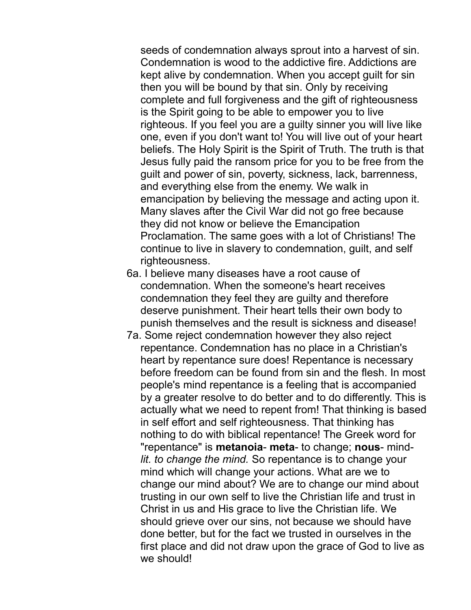seeds of condemnation always sprout into a harvest of sin. Condemnation is wood to the addictive fire. Addictions are kept alive by condemnation. When you accept guilt for sin then you will be bound by that sin. Only by receiving complete and full forgiveness and the gift of righteousness is the Spirit going to be able to empower you to live righteous. If you feel you are a guilty sinner you will live like one, even if you don't want to! You will live out of your heart beliefs. The Holy Spirit is the Spirit of Truth. The truth is that Jesus fully paid the ransom price for you to be free from the guilt and power of sin, poverty, sickness, lack, barrenness, and everything else from the enemy. We walk in emancipation by believing the message and acting upon it. Many slaves after the Civil War did not go free because they did not know or believe the Emancipation Proclamation. The same goes with a lot of Christians! The continue to live in slavery to condemnation, guilt, and self righteousness.

- 6a. I believe many diseases have a root cause of condemnation. When the someone's heart receives condemnation they feel they are guilty and therefore deserve punishment. Their heart tells their own body to punish themselves and the result is sickness and disease!
- 7a. Some reject condemnation however they also reject repentance. Condemnation has no place in a Christian's heart by repentance sure does! Repentance is necessary before freedom can be found from sin and the flesh. In most people's mind repentance is a feeling that is accompanied by a greater resolve to do better and to do differently. This is actually what we need to repent from! That thinking is based in self effort and self righteousness. That thinking has nothing to do with biblical repentance! The Greek word for "repentance" is **metanoia**- **meta**- to change; **nous**- mind*lit. to change the mind.* So repentance is to change your mind which will change your actions. What are we to change our mind about? We are to change our mind about trusting in our own self to live the Christian life and trust in Christ in us and His grace to live the Christian life. We should grieve over our sins, not because we should have done better, but for the fact we trusted in ourselves in the first place and did not draw upon the grace of God to live as we should!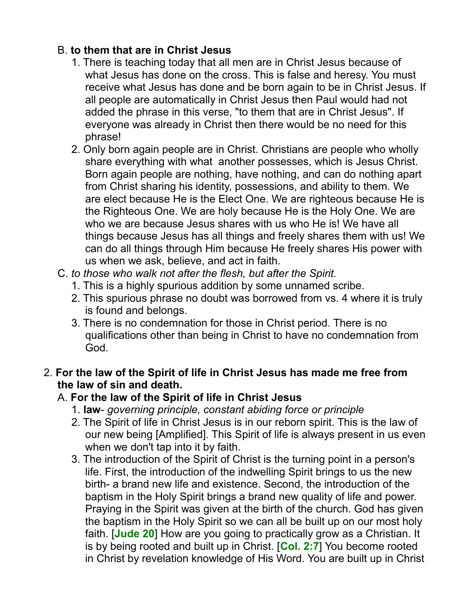## B. **to them that are in Christ Jesus**

- 1. There is teaching today that all men are in Christ Jesus because of what Jesus has done on the cross. This is false and heresy. You must receive what Jesus has done and be born again to be in Christ Jesus. If all people are automatically in Christ Jesus then Paul would had not added the phrase in this verse, "to them that are in Christ Jesus". If everyone was already in Christ then there would be no need for this phrase!
- 2. Only born again people are in Christ. Christians are people who wholly share everything with what another possesses, which is Jesus Christ. Born again people are nothing, have nothing, and can do nothing apart from Christ sharing his identity, possessions, and ability to them. We are elect because He is the Elect One. We are righteous because He is the Righteous One. We are holy because He is the Holy One. We are who we are because Jesus shares with us who He is! We have all things because Jesus has all things and freely shares them with us! We can do all things through Him because He freely shares His power with us when we ask, believe, and act in faith.
- C. *to those who walk not after the flesh, but after the Spirit.*
	- 1. This is a highly spurious addition by some unnamed scribe.
	- 2. This spurious phrase no doubt was borrowed from vs. 4 where it is truly is found and belongs.
	- 3. There is no condemnation for those in Christ period. There is no qualifications other than being in Christ to have no condemnation from God.

### 2. **For the law of the Spirit of life in Christ Jesus has made me free from the law of sin and death.**

### A. **For the law of the Spirit of life in Christ Jesus**

- 1. **law** *governing principle, constant abiding force or principle*
- 2. The Spirit of life in Christ Jesus is in our reborn spirit. This is the law of our new being [Amplified]. This Spirit of life is always present in us even when we don't tap into it by faith.
- 3. The introduction of the Spirit of Christ is the turning point in a person's life. First, the introduction of the indwelling Spirit brings to us the new birth- a brand new life and existence. Second, the introduction of the baptism in the Holy Spirit brings a brand new quality of life and power. Praying in the Spirit was given at the birth of the church. God has given the baptism in the Holy Spirit so we can all be built up on our most holy faith. [**Jude 20**] How are you going to practically grow as a Christian. It is by being rooted and built up in Christ. [**Col. 2:7**] You become rooted in Christ by revelation knowledge of His Word. You are built up in Christ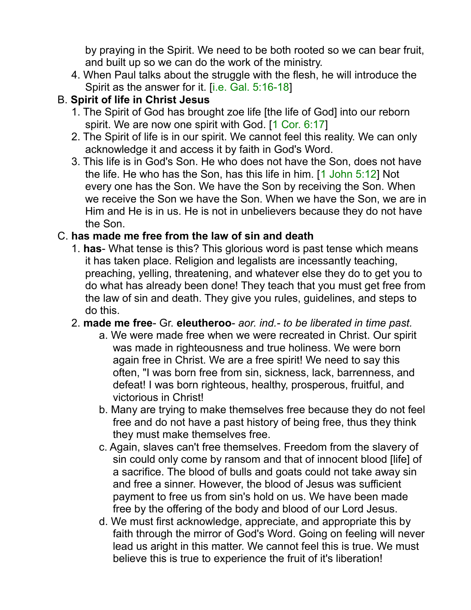by praying in the Spirit. We need to be both rooted so we can bear fruit, and built up so we can do the work of the ministry.

4. When Paul talks about the struggle with the flesh, he will introduce the Spirit as the answer for it. [i.e. Gal. 5:16-18]

## B. **Spirit of life in Christ Jesus**

- 1. The Spirit of God has brought zoe life [the life of God] into our reborn spirit. We are now one spirit with God. [1 Cor. 6:17]
- 2. The Spirit of life is in our spirit. We cannot feel this reality. We can only acknowledge it and access it by faith in God's Word.
- 3. This life is in God's Son. He who does not have the Son, does not have the life. He who has the Son, has this life in him. [1 John 5:12] Not every one has the Son. We have the Son by receiving the Son. When we receive the Son we have the Son. When we have the Son, we are in Him and He is in us. He is not in unbelievers because they do not have the Son.

## C. **has made me free from the law of sin and death**

- 1. **has** What tense is this? This glorious word is past tense which means it has taken place. Religion and legalists are incessantly teaching, preaching, yelling, threatening, and whatever else they do to get you to do what has already been done! They teach that you must get free from the law of sin and death. They give you rules, guidelines, and steps to do this.
- 2. **made me free** Gr. **eleutheroo** *aor. ind.- to be liberated in time past.*
	- a. We were made free when we were recreated in Christ. Our spirit was made in righteousness and true holiness. We were born again free in Christ. We are a free spirit! We need to say this often, "I was born free from sin, sickness, lack, barrenness, and defeat! I was born righteous, healthy, prosperous, fruitful, and victorious in Christ!
	- b. Many are trying to make themselves free because they do not feel free and do not have a past history of being free, thus they think they must make themselves free.
	- c. Again, slaves can't free themselves. Freedom from the slavery of sin could only come by ransom and that of innocent blood [life] of a sacrifice. The blood of bulls and goats could not take away sin and free a sinner. However, the blood of Jesus was sufficient payment to free us from sin's hold on us. We have been made free by the offering of the body and blood of our Lord Jesus.
	- d. We must first acknowledge, appreciate, and appropriate this by faith through the mirror of God's Word. Going on feeling will never lead us aright in this matter. We cannot feel this is true. We must believe this is true to experience the fruit of it's liberation!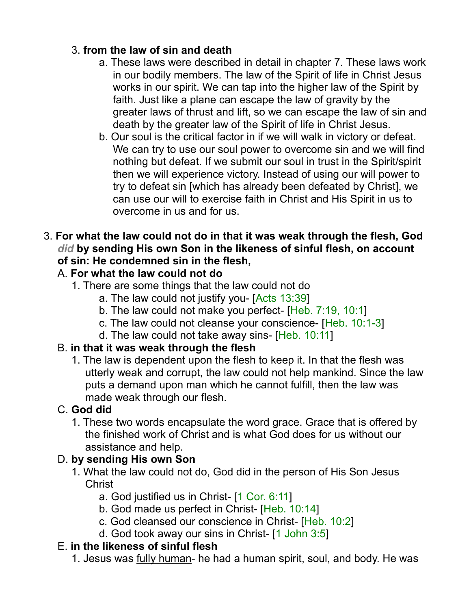## 3. **from the law of sin and death**

- a. These laws were described in detail in chapter 7. These laws work in our bodily members. The law of the Spirit of life in Christ Jesus works in our spirit. We can tap into the higher law of the Spirit by faith. Just like a plane can escape the law of gravity by the greater laws of thrust and lift, so we can escape the law of sin and death by the greater law of the Spirit of life in Christ Jesus.
- b. Our soul is the critical factor in if we will walk in victory or defeat. We can try to use our soul power to overcome sin and we will find nothing but defeat. If we submit our soul in trust in the Spirit/spirit then we will experience victory. Instead of using our will power to try to defeat sin [which has already been defeated by Christ], we can use our will to exercise faith in Christ and His Spirit in us to overcome in us and for us.
- 3. **For what the law could not do in that it was weak through the flesh, God** *did* **by sending His own Son in the likeness of sinful flesh, on account of sin: He condemned sin in the flesh,**

## A. **For what the law could not do**

- 1. There are some things that the law could not do
	- a. The law could not justify you- [Acts 13:39]
	- b. The law could not make you perfect- [Heb. 7:19, 10:1]
	- c. The law could not cleanse your conscience- [Heb. 10:1-3]
	- d. The law could not take away sins- [Heb. 10:11]

## B. **in that it was weak through the flesh**

1. The law is dependent upon the flesh to keep it. In that the flesh was utterly weak and corrupt, the law could not help mankind. Since the law puts a demand upon man which he cannot fulfill, then the law was made weak through our flesh.

## C. **God did**

1. These two words encapsulate the word grace. Grace that is offered by the finished work of Christ and is what God does for us without our assistance and help.

## D. **by sending His own Son**

- 1. What the law could not do, God did in the person of His Son Jesus Christ
	- a. God justified us in Christ- [1 Cor. 6:11]
	- b. God made us perfect in Christ- [Heb. 10:14]
	- c. God cleansed our conscience in Christ- [Heb. 10:2]
	- d. God took away our sins in Christ- [1 John 3:5]

### E. **in the likeness of sinful flesh**

1. Jesus was fully human- he had a human spirit, soul, and body. He was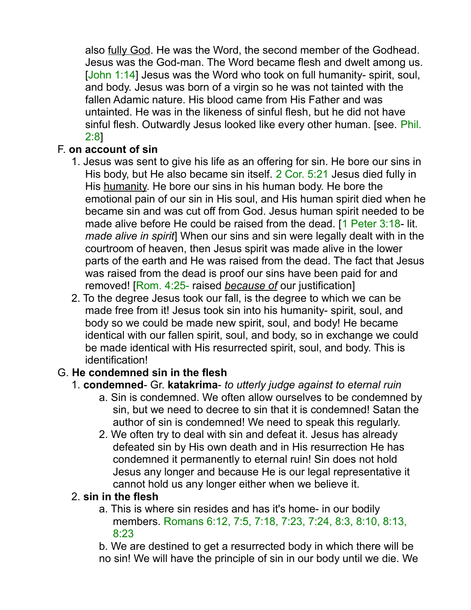also fully God. He was the Word, the second member of the Godhead. Jesus was the God-man. The Word became flesh and dwelt among us. [John 1:14] Jesus was the Word who took on full humanity- spirit, soul, and body. Jesus was born of a virgin so he was not tainted with the fallen Adamic nature. His blood came from His Father and was untainted. He was in the likeness of sinful flesh, but he did not have sinful flesh. Outwardly Jesus looked like every other human. [see. Phil. 2:8]

## F. **on account of sin**

- 1. Jesus was sent to give his life as an offering for sin. He bore our sins in His body, but He also became sin itself. 2 Cor. 5:21 Jesus died fully in His humanity. He bore our sins in his human body. He bore the emotional pain of our sin in His soul, and His human spirit died when he became sin and was cut off from God. Jesus human spirit needed to be made alive before He could be raised from the dead. [1 Peter 3:18- lit. *made alive in spirit*] When our sins and sin were legally dealt with in the courtroom of heaven, then Jesus spirit was made alive in the lower parts of the earth and He was raised from the dead. The fact that Jesus was raised from the dead is proof our sins have been paid for and removed! [Rom. 4:25- raised *because of* our justification]
- 2. To the degree Jesus took our fall, is the degree to which we can be made free from it! Jesus took sin into his humanity- spirit, soul, and body so we could be made new spirit, soul, and body! He became identical with our fallen spirit, soul, and body, so in exchange we could be made identical with His resurrected spirit, soul, and body. This is identification!

## G. **He condemned sin in the flesh**

### 1. **condemned**- Gr. **katakrima**- *to utterly judge against to eternal ruin*

- a. Sin is condemned. We often allow ourselves to be condemned by sin, but we need to decree to sin that it is condemned! Satan the author of sin is condemned! We need to speak this regularly.
- 2. We often try to deal with sin and defeat it. Jesus has already defeated sin by His own death and in His resurrection He has condemned it permanently to eternal ruin! Sin does not hold Jesus any longer and because He is our legal representative it cannot hold us any longer either when we believe it.

### 2. **sin in the flesh**

a. This is where sin resides and has it's home- in our bodily members. Romans 6:12, 7:5, 7:18, 7:23, 7:24, 8:3, 8:10, 8:13, 8:23

b. We are destined to get a resurrected body in which there will be no sin! We will have the principle of sin in our body until we die. We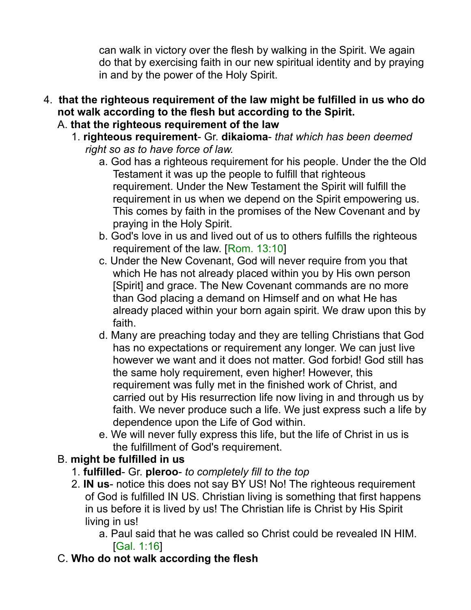can walk in victory over the flesh by walking in the Spirit. We again do that by exercising faith in our new spiritual identity and by praying in and by the power of the Holy Spirit.

- 4. **that the righteous requirement of the law might be fulfilled in us who do not walk according to the flesh but according to the Spirit.** A. **that the righteous requirement of the law**
	- 1. **righteous requirement** Gr. **dikaioma** *that which has been deemed right so as to have force of law.*
		- a. God has a righteous requirement for his people. Under the the Old Testament it was up the people to fulfill that righteous requirement. Under the New Testament the Spirit will fulfill the requirement in us when we depend on the Spirit empowering us. This comes by faith in the promises of the New Covenant and by praying in the Holy Spirit.
		- b. God's love in us and lived out of us to others fulfills the righteous requirement of the law. [Rom. 13:10]
		- c. Under the New Covenant, God will never require from you that which He has not already placed within you by His own person [Spirit] and grace. The New Covenant commands are no more than God placing a demand on Himself and on what He has already placed within your born again spirit. We draw upon this by faith.
		- d. Many are preaching today and they are telling Christians that God has no expectations or requirement any longer. We can just live however we want and it does not matter. God forbid! God still has the same holy requirement, even higher! However, this requirement was fully met in the finished work of Christ, and carried out by His resurrection life now living in and through us by faith. We never produce such a life. We just express such a life by dependence upon the Life of God within.
		- e. We will never fully express this life, but the life of Christ in us is the fulfillment of God's requirement.

## B. **might be fulfilled in us**

- 1. **fulfilled** Gr. **pleroo** *to completely fill to the top*
- 2. **IN us** notice this does not say BY US! No! The righteous requirement of God is fulfilled IN US. Christian living is something that first happens in us before it is lived by us! The Christian life is Christ by His Spirit living in us!
	- a. Paul said that he was called so Christ could be revealed IN HIM. [Gal. 1:16]
- C. **Who do not walk according the flesh**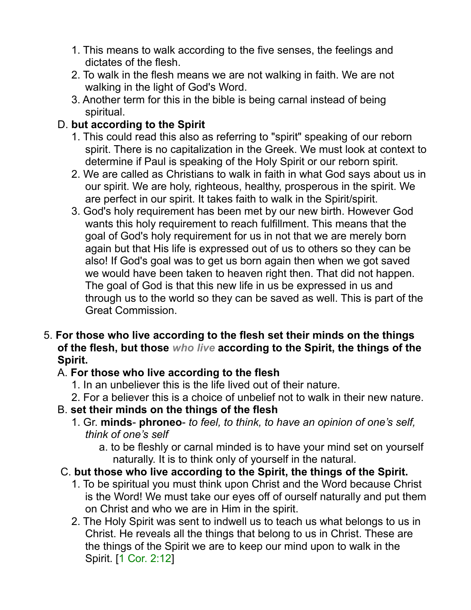- 1. This means to walk according to the five senses, the feelings and dictates of the flesh.
- 2. To walk in the flesh means we are not walking in faith. We are not walking in the light of God's Word.
- 3. Another term for this in the bible is being carnal instead of being spiritual.

## D. **but according to the Spirit**

- 1. This could read this also as referring to "spirit" speaking of our reborn spirit. There is no capitalization in the Greek. We must look at context to determine if Paul is speaking of the Holy Spirit or our reborn spirit.
- 2. We are called as Christians to walk in faith in what God says about us in our spirit. We are holy, righteous, healthy, prosperous in the spirit. We are perfect in our spirit. It takes faith to walk in the Spirit/spirit.
- 3. God's holy requirement has been met by our new birth. However God wants this holy requirement to reach fulfillment. This means that the goal of God's holy requirement for us in not that we are merely born again but that His life is expressed out of us to others so they can be also! If God's goal was to get us born again then when we got saved we would have been taken to heaven right then. That did not happen. The goal of God is that this new life in us be expressed in us and through us to the world so they can be saved as well. This is part of the Great Commission.
- 5. **For those who live according to the flesh set their minds on the things of the flesh, but those** *who live* **according to the Spirit, the things of the Spirit.**

## A. **For those who live according to the flesh**

- 1. In an unbeliever this is the life lived out of their nature.
- 2. For a believer this is a choice of unbelief not to walk in their new nature.
- B. **set their minds on the things of the flesh**
	- 1. Gr. **minds phroneo** *to feel, to think, to have an opinion of one's self, think of one's self*
		- a. to be fleshly or carnal minded is to have your mind set on yourself naturally. It is to think only of yourself in the natural.
- C. **but those who live according to the Spirit, the things of the Spirit.**
	- 1. To be spiritual you must think upon Christ and the Word because Christ is the Word! We must take our eyes off of ourself naturally and put them on Christ and who we are in Him in the spirit.
	- 2. The Holy Spirit was sent to indwell us to teach us what belongs to us in Christ. He reveals all the things that belong to us in Christ. These are the things of the Spirit we are to keep our mind upon to walk in the Spirit. [1 Cor. 2:12]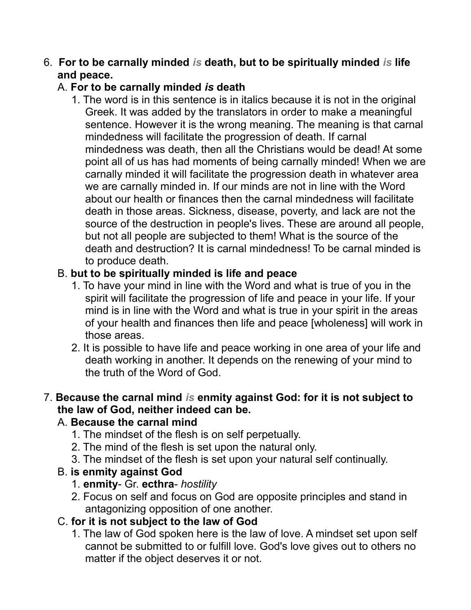#### 6. **For to be carnally minded** *is* **death, but to be spiritually minded** *is* **life and peace.**

### A. **For to be carnally minded** *is* **death**

1. The word is in this sentence is in italics because it is not in the original Greek. It was added by the translators in order to make a meaningful sentence. However it is the wrong meaning. The meaning is that carnal mindedness will facilitate the progression of death. If carnal mindedness was death, then all the Christians would be dead! At some point all of us has had moments of being carnally minded! When we are carnally minded it will facilitate the progression death in whatever area we are carnally minded in. If our minds are not in line with the Word about our health or finances then the carnal mindedness will facilitate death in those areas. Sickness, disease, poverty, and lack are not the source of the destruction in people's lives. These are around all people, but not all people are subjected to them! What is the source of the death and destruction? It is carnal mindedness! To be carnal minded is to produce death.

## B. **but to be spiritually minded is life and peace**

- 1. To have your mind in line with the Word and what is true of you in the spirit will facilitate the progression of life and peace in your life. If your mind is in line with the Word and what is true in your spirit in the areas of your health and finances then life and peace [wholeness] will work in those areas.
- 2. It is possible to have life and peace working in one area of your life and death working in another. It depends on the renewing of your mind to the truth of the Word of God.

### 7. **Because the carnal mind** *is* **enmity against God: for it is not subject to the law of God, neither indeed can be.**

## A. **Because the carnal mind**

- 1. The mindset of the flesh is on self perpetually.
- 2. The mind of the flesh is set upon the natural only.
- 3. The mindset of the flesh is set upon your natural self continually.

## B. **is enmity against God**

- 1. **enmity** Gr. **ecthra** *hostility*
- 2. Focus on self and focus on God are opposite principles and stand in antagonizing opposition of one another.

## C. **for it is not subject to the law of God**

1. The law of God spoken here is the law of love. A mindset set upon self cannot be submitted to or fulfill love. God's love gives out to others no matter if the object deserves it or not.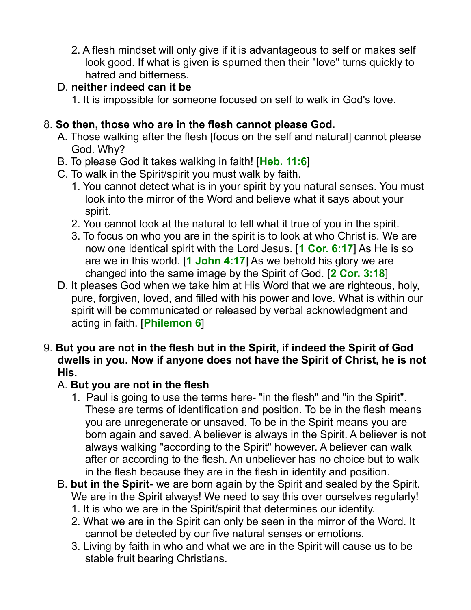2. A flesh mindset will only give if it is advantageous to self or makes self look good. If what is given is spurned then their "love" turns quickly to hatred and bitterness.

### D. **neither indeed can it be**

1. It is impossible for someone focused on self to walk in God's love.

## 8. **So then, those who are in the flesh cannot please God.**

- A. Those walking after the flesh [focus on the self and natural] cannot please God. Why?
- B. To please God it takes walking in faith! [**Heb. 11:6**]
- C. To walk in the Spirit/spirit you must walk by faith.
	- 1. You cannot detect what is in your spirit by you natural senses. You must look into the mirror of the Word and believe what it says about your spirit.
	- 2. You cannot look at the natural to tell what it true of you in the spirit.
	- 3. To focus on who you are in the spirit is to look at who Christ is. We are now one identical spirit with the Lord Jesus. [**1 Cor. 6:17**] As He is so are we in this world. [**1 John 4:17**] As we behold his glory we are changed into the same image by the Spirit of God. [**2 Cor. 3:18**]
- D. It pleases God when we take him at His Word that we are righteous, holy, pure, forgiven, loved, and filled with his power and love. What is within our spirit will be communicated or released by verbal acknowledgment and acting in faith. [**Philemon 6**]
- 9. **But you are not in the flesh but in the Spirit, if indeed the Spirit of God dwells in you. Now if anyone does not have the Spirit of Christ, he is not His.**

## A. **But you are not in the flesh**

- 1. Paul is going to use the terms here- "in the flesh" and "in the Spirit". These are terms of identification and position. To be in the flesh means you are unregenerate or unsaved. To be in the Spirit means you are born again and saved. A believer is always in the Spirit. A believer is not always walking "according to the Spirit" however. A believer can walk after or according to the flesh. An unbeliever has no choice but to walk in the flesh because they are in the flesh in identity and position.
- B. **but in the Spirit** we are born again by the Spirit and sealed by the Spirit. We are in the Spirit always! We need to say this over ourselves regularly!
	- 1. It is who we are in the Spirit/spirit that determines our identity.
	- 2. What we are in the Spirit can only be seen in the mirror of the Word. It cannot be detected by our five natural senses or emotions.
	- 3. Living by faith in who and what we are in the Spirit will cause us to be stable fruit bearing Christians.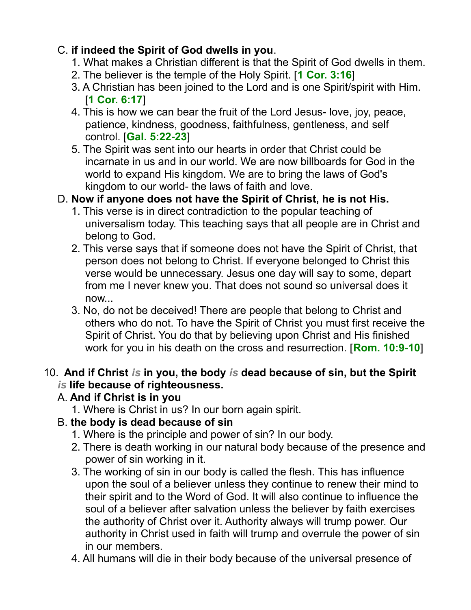## C. **if indeed the Spirit of God dwells in you**.

- 1. What makes a Christian different is that the Spirit of God dwells in them.
- 2. The believer is the temple of the Holy Spirit. [**1 Cor. 3:16**]
- 3. A Christian has been joined to the Lord and is one Spirit/spirit with Him. [**1 Cor. 6:17**]
- 4. This is how we can bear the fruit of the Lord Jesus- love, joy, peace, patience, kindness, goodness, faithfulness, gentleness, and self control. [**Gal. 5:22-23**]
- 5. The Spirit was sent into our hearts in order that Christ could be incarnate in us and in our world. We are now billboards for God in the world to expand His kingdom. We are to bring the laws of God's kingdom to our world- the laws of faith and love.

## D. **Now if anyone does not have the Spirit of Christ, he is not His.**

- 1. This verse is in direct contradiction to the popular teaching of universalism today. This teaching says that all people are in Christ and belong to God.
- 2. This verse says that if someone does not have the Spirit of Christ, that person does not belong to Christ. If everyone belonged to Christ this verse would be unnecessary. Jesus one day will say to some, depart from me I never knew you. That does not sound so universal does it now...
- 3. No, do not be deceived! There are people that belong to Christ and others who do not. To have the Spirit of Christ you must first receive the Spirit of Christ. You do that by believing upon Christ and His finished work for you in his death on the cross and resurrection. [**Rom. 10:9-10**]

### 10. **And if Christ** *is* **in you, the body** *is* **dead because of sin, but the Spirit** *is* **life because of righteousness.**

## A. **And if Christ is in you**

1. Where is Christ in us? In our born again spirit.

## B. **the body is dead because of sin**

- 1. Where is the principle and power of sin? In our body.
- 2. There is death working in our natural body because of the presence and power of sin working in it.
- 3. The working of sin in our body is called the flesh. This has influence upon the soul of a believer unless they continue to renew their mind to their spirit and to the Word of God. It will also continue to influence the soul of a believer after salvation unless the believer by faith exercises the authority of Christ over it. Authority always will trump power. Our authority in Christ used in faith will trump and overrule the power of sin in our members.
- 4. All humans will die in their body because of the universal presence of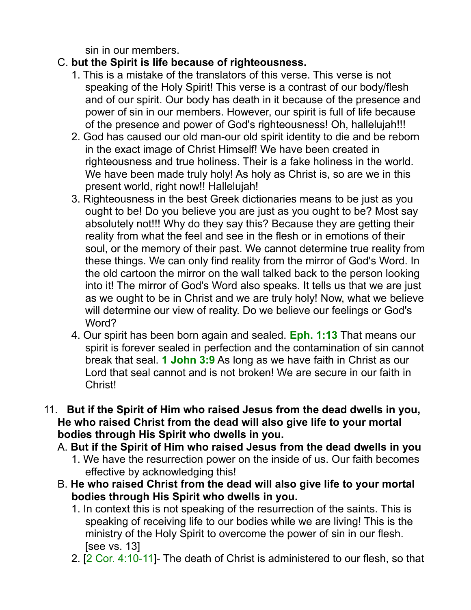sin in our members.

### C. **but the Spirit is life because of righteousness.**

- 1. This is a mistake of the translators of this verse. This verse is not speaking of the Holy Spirit! This verse is a contrast of our body/flesh and of our spirit. Our body has death in it because of the presence and power of sin in our members. However, our spirit is full of life because of the presence and power of God's righteousness! Oh, hallelujah!!!
- 2. God has caused our old man-our old spirit identity to die and be reborn in the exact image of Christ Himself! We have been created in righteousness and true holiness. Their is a fake holiness in the world. We have been made truly holy! As holy as Christ is, so are we in this present world, right now!! Hallelujah!
- 3. Righteousness in the best Greek dictionaries means to be just as you ought to be! Do you believe you are just as you ought to be? Most say absolutely not!!! Why do they say this? Because they are getting their reality from what the feel and see in the flesh or in emotions of their soul, or the memory of their past. We cannot determine true reality from these things. We can only find reality from the mirror of God's Word. In the old cartoon the mirror on the wall talked back to the person looking into it! The mirror of God's Word also speaks. It tells us that we are just as we ought to be in Christ and we are truly holy! Now, what we believe will determine our view of reality. Do we believe our feelings or God's Word?
- 4. Our spirit has been born again and sealed. **Eph. 1:13** That means our spirit is forever sealed in perfection and the contamination of sin cannot break that seal. **1 John 3:9** As long as we have faith in Christ as our Lord that seal cannot and is not broken! We are secure in our faith in Christ!
- 11. **But if the Spirit of Him who raised Jesus from the dead dwells in you, He who raised Christ from the dead will also give life to your mortal bodies through His Spirit who dwells in you.** 
	- A. **But if the Spirit of Him who raised Jesus from the dead dwells in you**
		- 1. We have the resurrection power on the inside of us. Our faith becomes effective by acknowledging this!
	- B. **He who raised Christ from the dead will also give life to your mortal bodies through His Spirit who dwells in you.**
		- 1. In context this is not speaking of the resurrection of the saints. This is speaking of receiving life to our bodies while we are living! This is the ministry of the Holy Spirit to overcome the power of sin in our flesh. [see vs. 13]
		- 2. [2 Cor. 4:10-11]- The death of Christ is administered to our flesh, so that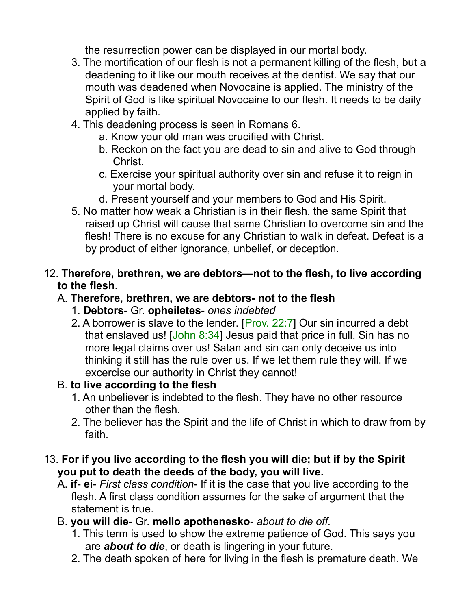the resurrection power can be displayed in our mortal body.

- 3. The mortification of our flesh is not a permanent killing of the flesh, but a deadening to it like our mouth receives at the dentist. We say that our mouth was deadened when Novocaine is applied. The ministry of the Spirit of God is like spiritual Novocaine to our flesh. It needs to be daily applied by faith.
- 4. This deadening process is seen in Romans 6.
	- a. Know your old man was crucified with Christ.
	- b. Reckon on the fact you are dead to sin and alive to God through Christ.
	- c. Exercise your spiritual authority over sin and refuse it to reign in your mortal body.
	- d. Present yourself and your members to God and His Spirit.
- 5. No matter how weak a Christian is in their flesh, the same Spirit that raised up Christ will cause that same Christian to overcome sin and the flesh! There is no excuse for any Christian to walk in defeat. Defeat is a by product of either ignorance, unbelief, or deception.

#### 12. **Therefore, brethren, we are debtors—not to the flesh, to live according to the flesh.**

### A. **Therefore, brethren, we are debtors- not to the flesh**

- 1. **Debtors** Gr. **opheiletes** *ones indebted*
- 2. A borrower is slave to the lender. [Prov. 22:7] Our sin incurred a debt that enslaved us! [John 8:34] Jesus paid that price in full. Sin has no more legal claims over us! Satan and sin can only deceive us into thinking it still has the rule over us. If we let them rule they will. If we excercise our authority in Christ they cannot!

## B. **to live according to the flesh**

- 1. An unbeliever is indebted to the flesh. They have no other resource other than the flesh.
- 2. The believer has the Spirit and the life of Christ in which to draw from by faith.
- 13. **For if you live according to the flesh you will die; but if by the Spirit you put to death the deeds of the body, you will live.** 
	- A. **if ei** *First class condition* If it is the case that you live according to the flesh. A first class condition assumes for the sake of argument that the statement is true.
	- B. **you will die** Gr. **mello apothenesko** *about to die off.*
		- 1. This term is used to show the extreme patience of God. This says you are *about to die*, or death is lingering in your future.
		- 2. The death spoken of here for living in the flesh is premature death. We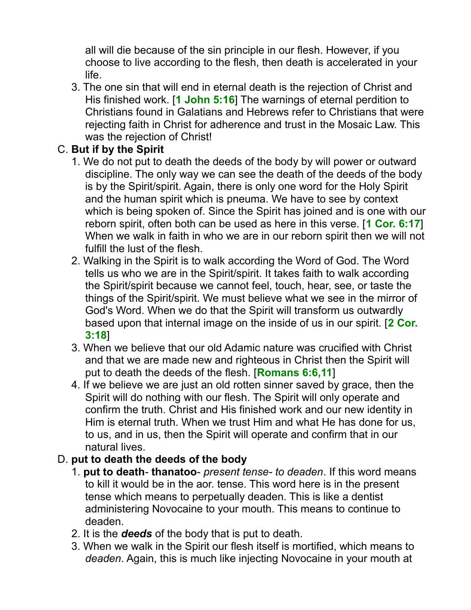all will die because of the sin principle in our flesh. However, if you choose to live according to the flesh, then death is accelerated in your life.

3. The one sin that will end in eternal death is the rejection of Christ and His finished work. [**1 John 5:16**] The warnings of eternal perdition to Christians found in Galatians and Hebrews refer to Christians that were rejecting faith in Christ for adherence and trust in the Mosaic Law. This was the rejection of Christ!

### C. **But if by the Spirit**

- 1. We do not put to death the deeds of the body by will power or outward discipline. The only way we can see the death of the deeds of the body is by the Spirit/spirit. Again, there is only one word for the Holy Spirit and the human spirit which is pneuma. We have to see by context which is being spoken of. Since the Spirit has joined and is one with our reborn spirit, often both can be used as here in this verse. [**1 Cor. 6:17**] When we walk in faith in who we are in our reborn spirit then we will not fulfill the lust of the flesh.
- 2. Walking in the Spirit is to walk according the Word of God. The Word tells us who we are in the Spirit/spirit. It takes faith to walk according the Spirit/spirit because we cannot feel, touch, hear, see, or taste the things of the Spirit/spirit. We must believe what we see in the mirror of God's Word. When we do that the Spirit will transform us outwardly based upon that internal image on the inside of us in our spirit. [**2 Cor. 3:18**]
- 3. When we believe that our old Adamic nature was crucified with Christ and that we are made new and righteous in Christ then the Spirit will put to death the deeds of the flesh. [**Romans 6:6,11**]
- 4. If we believe we are just an old rotten sinner saved by grace, then the Spirit will do nothing with our flesh. The Spirit will only operate and confirm the truth. Christ and His finished work and our new identity in Him is eternal truth. When we trust Him and what He has done for us, to us, and in us, then the Spirit will operate and confirm that in our natural lives.

## D. **put to death the deeds of the body**

- 1. **put to death thanatoo** *present tense- to deaden*. If this word means to kill it would be in the aor. tense. This word here is in the present tense which means to perpetually deaden. This is like a dentist administering Novocaine to your mouth. This means to continue to deaden.
- 2. It is the *deeds* of the body that is put to death.
- 3. When we walk in the Spirit our flesh itself is mortified, which means to *deaden*. Again, this is much like injecting Novocaine in your mouth at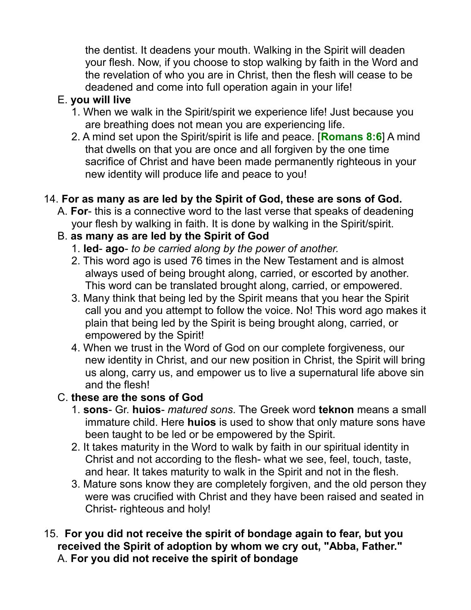the dentist. It deadens your mouth. Walking in the Spirit will deaden your flesh. Now, if you choose to stop walking by faith in the Word and the revelation of who you are in Christ, then the flesh will cease to be deadened and come into full operation again in your life!

### E. **you will live**

- 1. When we walk in the Spirit/spirit we experience life! Just because you are breathing does not mean you are experiencing life.
- 2. A mind set upon the Spirit/spirit is life and peace. [**Romans 8:6**] A mind that dwells on that you are once and all forgiven by the one time sacrifice of Christ and have been made permanently righteous in your new identity will produce life and peace to you!

## 14. **For as many as are led by the Spirit of God, these are sons of God.**

A. **For**- this is a connective word to the last verse that speaks of deadening your flesh by walking in faith. It is done by walking in the Spirit/spirit.

## B. **as many as are led by the Spirit of God**

- 1. **led ago** *to be carried along by the power of another.*
- 2. This word ago is used 76 times in the New Testament and is almost always used of being brought along, carried, or escorted by another. This word can be translated brought along, carried, or empowered.
- 3. Many think that being led by the Spirit means that you hear the Spirit call you and you attempt to follow the voice. No! This word ago makes it plain that being led by the Spirit is being brought along, carried, or empowered by the Spirit!
- 4. When we trust in the Word of God on our complete forgiveness, our new identity in Christ, and our new position in Christ, the Spirit will bring us along, carry us, and empower us to live a supernatural life above sin and the flesh!

## C. **these are the sons of God**

- 1. **sons** Gr. **huios** *matured sons*. The Greek word **teknon** means a small immature child. Here **huios** is used to show that only mature sons have been taught to be led or be empowered by the Spirit.
- 2. It takes maturity in the Word to walk by faith in our spiritual identity in Christ and not according to the flesh- what we see, feel, touch, taste, and hear. It takes maturity to walk in the Spirit and not in the flesh.
- 3. Mature sons know they are completely forgiven, and the old person they were was crucified with Christ and they have been raised and seated in Christ- righteous and holy!
- 15. **For you did not receive the spirit of bondage again to fear, but you received the Spirit of adoption by whom we cry out, "Abba, Father."** A. **For you did not receive the spirit of bondage**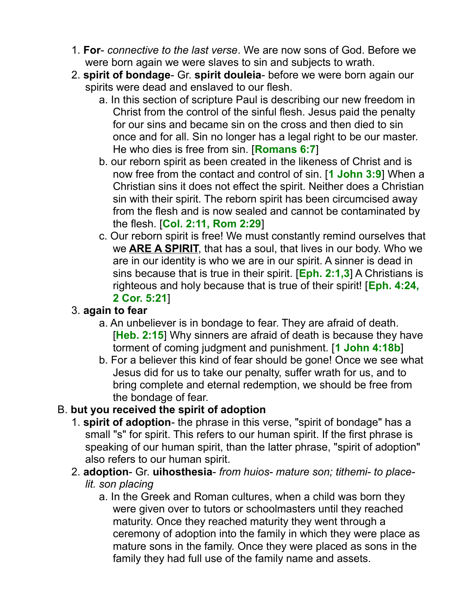- 1. **For** *connective to the last verse*. We are now sons of God. Before we were born again we were slaves to sin and subjects to wrath.
- 2. **spirit of bondage** Gr. **spirit douleia** before we were born again our spirits were dead and enslaved to our flesh.
	- a. In this section of scripture Paul is describing our new freedom in Christ from the control of the sinful flesh. Jesus paid the penalty for our sins and became sin on the cross and then died to sin once and for all. Sin no longer has a legal right to be our master. He who dies is free from sin. [**Romans 6:7**]
	- b. our reborn spirit as been created in the likeness of Christ and is now free from the contact and control of sin. [**1 John 3:9**] When a Christian sins it does not effect the spirit. Neither does a Christian sin with their spirit. The reborn spirit has been circumcised away from the flesh and is now sealed and cannot be contaminated by the flesh. [**Col. 2:11, Rom 2:29**]
	- c. Our reborn spirit is free! We must constantly remind ourselves that we **ARE A SPIRIT**, that has a soul, that lives in our body. Who we are in our identity is who we are in our spirit. A sinner is dead in sins because that is true in their spirit. [**Eph. 2:1,3**] A Christians is righteous and holy because that is true of their spirit! [**Eph. 4:24, 2 Cor. 5:21**]

### 3. **again to fear**

- a. An unbeliever is in bondage to fear. They are afraid of death. [**Heb. 2:15**] Why sinners are afraid of death is because they have torment of coming judgment and punishment. [**1 John 4:18b**]
- b. For a believer this kind of fear should be gone! Once we see what Jesus did for us to take our penalty, suffer wrath for us, and to bring complete and eternal redemption, we should be free from the bondage of fear.

## B. **but you received the spirit of adoption**

- 1. **spirit of adoption** the phrase in this verse, "spirit of bondage" has a small "s" for spirit. This refers to our human spirit. If the first phrase is speaking of our human spirit, than the latter phrase, "spirit of adoption" also refers to our human spirit.
- 2. **adoption** Gr. **uihosthesia** *from huios- mature son; tithemi- to placelit. son placing*
	- a. In the Greek and Roman cultures, when a child was born they were given over to tutors or schoolmasters until they reached maturity. Once they reached maturity they went through a ceremony of adoption into the family in which they were place as mature sons in the family. Once they were placed as sons in the family they had full use of the family name and assets.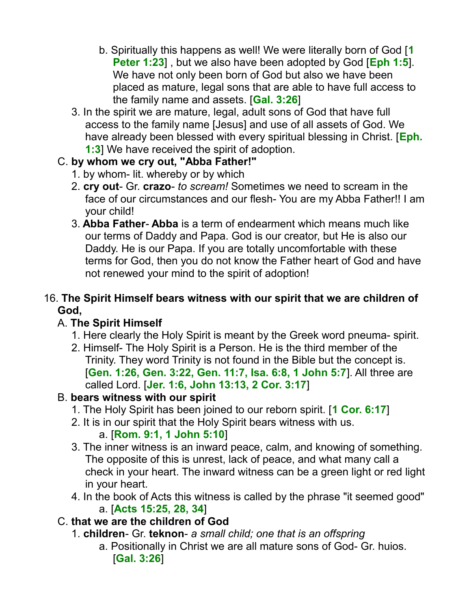- b. Spiritually this happens as well! We were literally born of God [**1 Peter 1:23**] , but we also have been adopted by God [**Eph 1:5**]. We have not only been born of God but also we have been placed as mature, legal sons that are able to have full access to the family name and assets. [**Gal. 3:26**]
- 3. In the spirit we are mature, legal, adult sons of God that have full access to the family name [Jesus] and use of all assets of God. We have already been blessed with every spiritual blessing in Christ. [**Eph. 1:3**] We have received the spirit of adoption.

### C. **by whom we cry out, "Abba Father!"**

- 1. by whom- lit. whereby or by which
- 2. **cry out** Gr. **crazo** *to scream!* Sometimes we need to scream in the face of our circumstances and our flesh- You are my Abba Father!! I am your child!
- 3. **Abba Father Abba** is a term of endearment which means much like our terms of Daddy and Papa. God is our creator, but He is also our Daddy. He is our Papa. If you are totally uncomfortable with these terms for God, then you do not know the Father heart of God and have not renewed your mind to the spirit of adoption!

### 16. **The Spirit Himself bears witness with our spirit that we are children of God,**

## A. **The Spirit Himself**

- 1. Here clearly the Holy Spirit is meant by the Greek word pneuma- spirit.
- 2. Himself- The Holy Spirit is a Person. He is the third member of the Trinity. They word Trinity is not found in the Bible but the concept is. [**Gen. 1:26, Gen. 3:22, Gen. 11:7, Isa. 6:8, 1 John 5:7**]. All three are called Lord. [**Jer. 1:6, John 13:13, 2 Cor. 3:17**]

## B. **bears witness with our spirit**

- 1. The Holy Spirit has been joined to our reborn spirit. [**1 Cor. 6:17**]
- 2. It is in our spirit that the Holy Spirit bears witness with us.

# a. [**Rom. 9:1, 1 John 5:10**]

- 3. The inner witness is an inward peace, calm, and knowing of something. The opposite of this is unrest, lack of peace, and what many call a check in your heart. The inward witness can be a green light or red light in your heart.
- 4. In the book of Acts this witness is called by the phrase "it seemed good" a. [**Acts 15:25, 28, 34**]

### C. **that we are the children of God**

- 1. **children** Gr. **teknon** *a small child; one that is an offspring*
	- a. Positionally in Christ we are all mature sons of God- Gr. huios. [**Gal. 3:26**]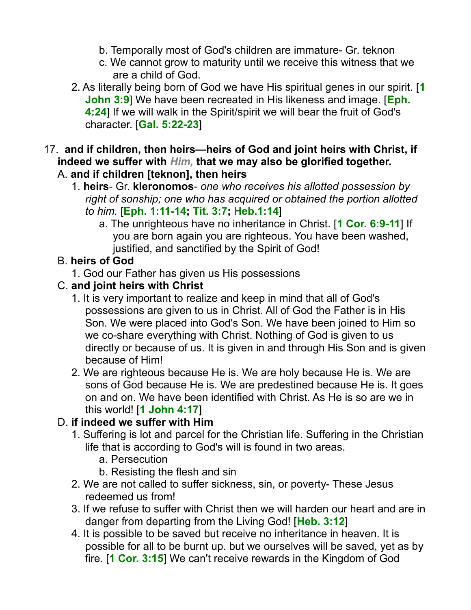- b. Temporally most of God's children are immature- Gr. teknon
- c. We cannot grow to maturity until we receive this witness that we are a child of God.
- 2. As literally being born of God we have His spiritual genes in our spirit. [**1 John 3:9**] We have been recreated in His likeness and image. [**Eph. 4:24**] If we will walk in the Spirit/spirit we will bear the fruit of God's character. [**Gal. 5:22-23**]
- 17. **and if children, then heirs—heirs of God and joint heirs with Christ, if indeed we suffer with** *Him,* **that we may also be glorified together.**  A. **and if children [teknon], then heirs**
	- 1. **heirs** Gr. **kleronomos** *one who receives his allotted possession by right of sonship; one who has acquired or obtained the portion allotted to him.* [**Eph. 1:11-14; Tit. 3:7; Heb.1:14**]
		- a. The unrighteous have no inheritance in Christ. [**1 Cor. 6:9-11**] If you are born again you are righteous. You have been washed, justified, and sanctified by the Spirit of God!

# B. **heirs of God**

1. God our Father has given us His possessions

# C. **and joint heirs with Christ**

- 1. It is very important to realize and keep in mind that all of God's possessions are given to us in Christ. All of God the Father is in His Son. We were placed into God's Son. We have been joined to Him so we co-share everything with Christ. Nothing of God is given to us directly or because of us. It is given in and through His Son and is given because of Him!
- 2. We are righteous because He is. We are holy because He is. We are sons of God because He is. We are predestined because He is. It goes on and on. We have been identified with Christ. As He is so are we in this world! [**1 John 4:17**]

# D. **if indeed we suffer with Him**

- 1. Suffering is lot and parcel for the Christian life. Suffering in the Christian life that is according to God's will is found in two areas.
	- a. Persecution
	- b. Resisting the flesh and sin
- 2. We are not called to suffer sickness, sin, or poverty- These Jesus redeemed us from!
- 3. If we refuse to suffer with Christ then we will harden our heart and are in danger from departing from the Living God! [**Heb. 3:12**]
- 4. It is possible to be saved but receive no inheritance in heaven. It is possible for all to be burnt up. but we ourselves will be saved, yet as by fire. [**1 Cor. 3:15**] We can't receive rewards in the Kingdom of God